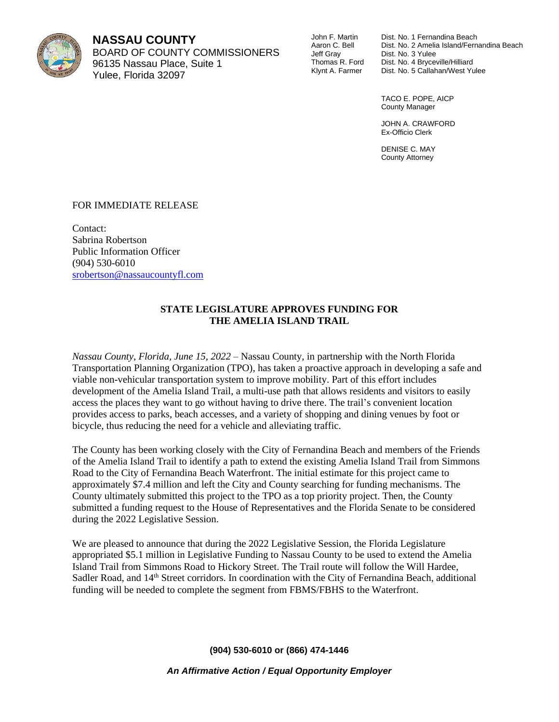

**NASSAU COUNTY** BOARD OF COUNTY COMMISSIONERS 96135 Nassau Place, Suite 1 Yulee, Florida 32097

John F. Martin Aaron C. Bell Jeff Gray Thomas R. Ford Klynt A. Farmer

Dist. No. 1 Fernandina Beach Dist. No. 2 Amelia Island/Fernandina Beach Dist. No. 3 Yulee Dist. No. 4 Bryceville/Hilliard Dist. No. 5 Callahan/West Yulee

TACO E. POPE, AICP County Manager

JOHN A. CRAWFORD Ex-Officio Clerk

DENISE C. MAY County Attorney

## FOR IMMEDIATE RELEASE

Contact: Sabrina Robertson Public Information Officer (904) 530-6010 [srobertson@nassaucountyfl.com](mailto:srobertson@nassaucountyfl.com)

## **STATE LEGISLATURE APPROVES FUNDING FOR THE AMELIA ISLAND TRAIL**

*Nassau County, Florida, June 15, 2022 –* Nassau County, in partnership with the North Florida Transportation Planning Organization (TPO), has taken a proactive approach in developing a safe and viable non-vehicular transportation system to improve mobility. Part of this effort includes development of the Amelia Island Trail, a multi-use path that allows residents and visitors to easily access the places they want to go without having to drive there. The trail's convenient location provides access to parks, beach accesses, and a variety of shopping and dining venues by foot or bicycle, thus reducing the need for a vehicle and alleviating traffic.

The County has been working closely with the City of Fernandina Beach and members of the Friends of the Amelia Island Trail to identify a path to extend the existing Amelia Island Trail from Simmons Road to the City of Fernandina Beach Waterfront. The initial estimate for this project came to approximately \$7.4 million and left the City and County searching for funding mechanisms. The County ultimately submitted this project to the TPO as a top priority project. Then, the County submitted a funding request to the House of Representatives and the Florida Senate to be considered during the 2022 Legislative Session.

We are pleased to announce that during the 2022 Legislative Session, the Florida Legislature appropriated \$5.1 million in Legislative Funding to Nassau County to be used to extend the Amelia Island Trail from Simmons Road to Hickory Street. The Trail route will follow the Will Hardee, Sadler Road, and 14<sup>th</sup> Street corridors. In coordination with the City of Fernandina Beach, additional funding will be needed to complete the segment from FBMS/FBHS to the Waterfront.

**(904) 530-6010 or (866) 474-1446**

*An Affirmative Action / Equal Opportunity Employer*